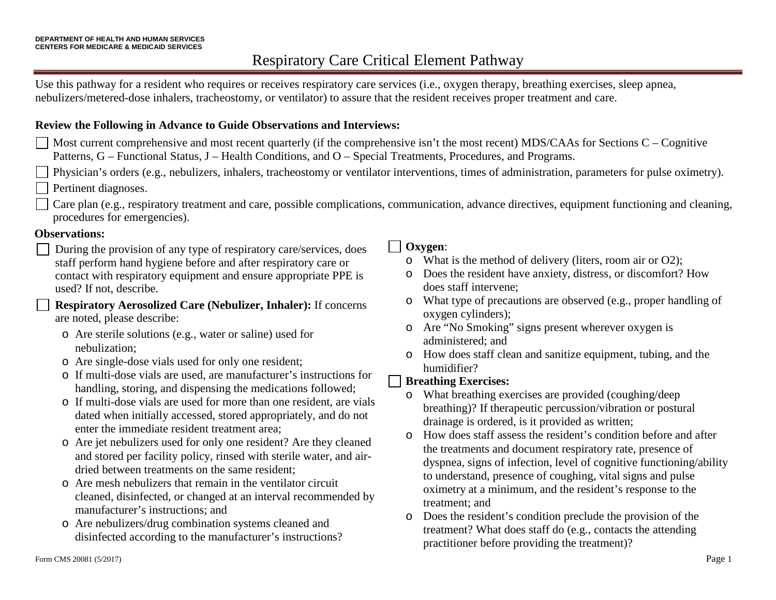Use this pathway for a resident who requires or receives respiratory care services (i.e., oxygen therapy, breathing exercises, sleep apnea, nebulizers/metered-dose inhalers, tracheostomy, or ventilator) to assure that the resident receives proper treatment and care.

### **Review the Following in Advance to Guide Observations and Interviews:**

- $\Box$  Most current comprehensive and most recent quarterly (if the comprehensive isn't the most recent) MDS/CAAs for Sections C Cognitive Patterns, G – Functional Status, J – Health Conditions, and O – Special Treatments, Procedures, and Programs.
	- Physician's orders (e.g., nebulizers, inhalers, tracheostomy or ventilator interventions, times of administration, parameters for pulse oximetry). Pertinent diagnoses.
	- Care plan (e.g., respiratory treatment and care, possible complications, communication, advance directives, equipment functioning and cleaning, procedures for emergencies).

### **Observations:**

During the provision of any type of respiratory care/services, does staff perform hand hygiene before and after respiratory care or contact with respiratory equipment and ensure appropriate PPE is used? If not, describe.

**Respiratory Aerosolized Care (Nebulizer, Inhaler):** If concerns are noted, please describe:

- o Are sterile solutions (e.g., water or saline) used for nebulization;
- o Are single-dose vials used for only one resident;
- o If multi-dose vials are used, are manufacturer's instructions for handling, storing, and dispensing the medications followed;
- o If multi-dose vials are used for more than one resident, are vials dated when initially accessed, stored appropriately, and do not enter the immediate resident treatment area;
- o Are jet nebulizers used for only one resident? Are they cleaned and stored per facility policy, rinsed with sterile water, and airdried between treatments on the same resident;
- o Are mesh nebulizers that remain in the ventilator circuit cleaned, disinfected, or changed at an interval recommended by manufacturer's instructions; and
- o Are nebulizers/drug combination systems cleaned and disinfected according to the manufacturer's instructions?

### **Oxygen**:

- o What is the method of delivery (liters, room air or O2);
- o Does the resident have anxiety, distress, or discomfort? How does staff intervene;
- o What type of precautions are observed (e.g., proper handling of oxygen cylinders);
- o Are "No Smoking" signs present wherever oxygen is administered; and
- o How does staff clean and sanitize equipment, tubing, and the humidifier?

### **Breathing Exercises:**

- o What breathing exercises are provided (coughing/deep breathing)? If therapeutic percussion/vibration or postural drainage is ordered, is it provided as written;
- o How does staff assess the resident's condition before and after the treatments and document respiratory rate, presence of dyspnea, signs of infection, level of cognitive functioning/ability to understand, presence of coughing, vital signs and pulse oximetry at a minimum, and the resident's response to the treatment; and
- o Does the resident's condition preclude the provision of the treatment? What does staff do (e.g., contacts the attending practitioner before providing the treatment)?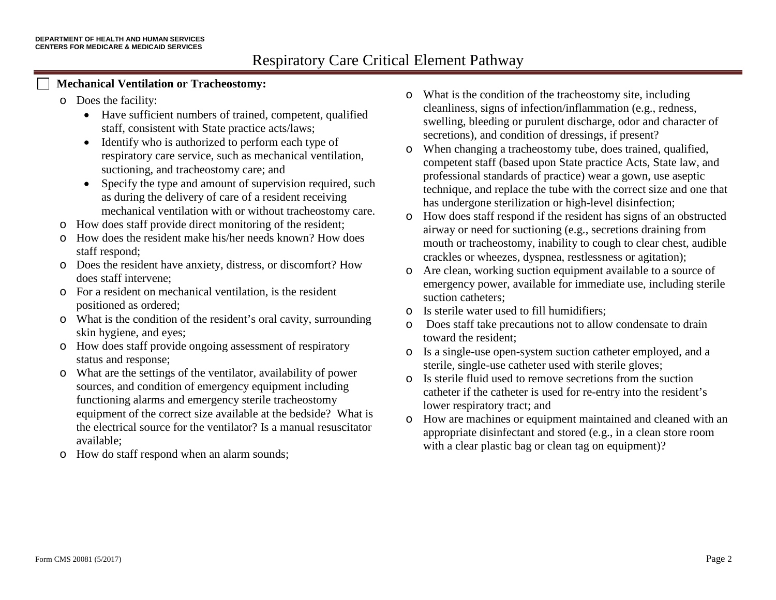### **Mechanical Ventilation or Tracheostomy:**

- o Does the facility:
	- Have sufficient numbers of trained, competent, qualified staff, consistent with State practice acts/laws;
	- Identify who is authorized to perform each type of respiratory care service, such as mechanical ventilation, suctioning, and tracheostomy care; and
	- Specify the type and amount of supervision required, such as during the delivery of care of a resident receiving mechanical ventilation with or without tracheostomy care.
- o How does staff provide direct monitoring of the resident;
- o How does the resident make his/her needs known? How does staff respond;
- o Does the resident have anxiety, distress, or discomfort? How does staff intervene;
- o For a resident on mechanical ventilation, is the resident positioned as ordered;
- o What is the condition of the resident's oral cavity, surrounding skin hygiene, and eyes;
- o How does staff provide ongoing assessment of respiratory status and response;
- o What are the settings of the ventilator, availability of power sources, and condition of emergency equipment including functioning alarms and emergency sterile tracheostomy equipment of the correct size available at the bedside? What is the electrical source for the ventilator? Is a manual resuscitator available;
- o How do staff respond when an alarm sounds;
- o What is the condition of the tracheostomy site, including cleanliness, signs of infection/inflammation (e.g., redness, swelling, bleeding or purulent discharge, odor and character of secretions), and condition of dressings, if present?
- o When changing a tracheostomy tube, does trained, qualified, competent staff (based upon State practice Acts, State law, and professional standards of practice) wear a gown, use aseptic technique, and replace the tube with the correct size and one that has undergone sterilization or high-level disinfection;
- o How does staff respond if the resident has signs of an obstructed airway or need for suctioning (e.g., secretions draining from mouth or tracheostomy, inability to cough to clear chest, audible crackles or wheezes, dyspnea, restlessness or agitation);
- o Are clean, working suction equipment available to a source of emergency power, available for immediate use, including sterile suction catheters;
- o Is sterile water used to fill humidifiers;
- Does staff take precautions not to allow condensate to drain toward the resident;
- o Is a single-use open-system suction catheter employed, and a sterile, single-use catheter used with sterile gloves;
- o Is sterile fluid used to remove secretions from the suction catheter if the catheter is used for re-entry into the resident's lower respiratory tract; and
- o How are machines or equipment maintained and cleaned with an appropriate disinfectant and stored (e.g., in a clean store room with a clear plastic bag or clean tag on equipment)?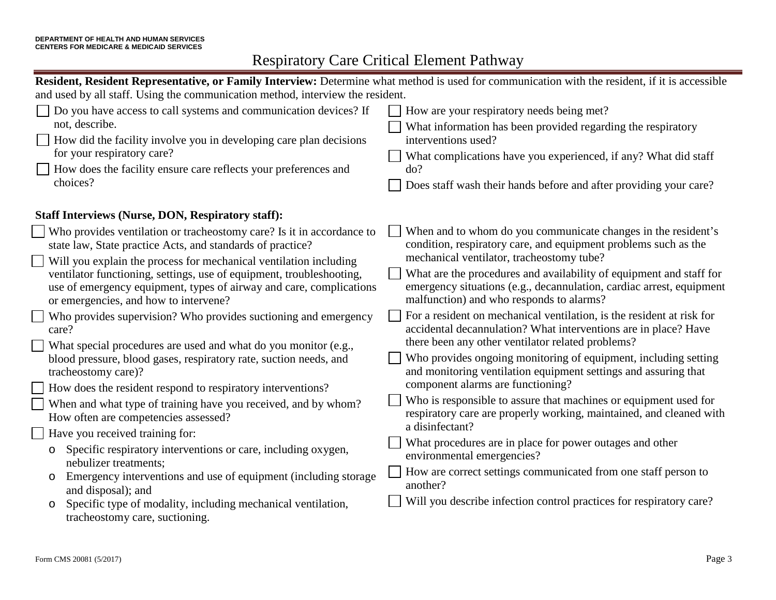| Resident, Resident Representative, or Family Interview: Determine what method is used for communication with the resident, if it is accessible                                                                                                                                                                                                                                                                                                                                                                                                                                                                                                                                                                                                                                                                                                                                                                                                                                                                                                                   |                                                                                                                                                                                                                                                                                                                                                                                                                                                                                                                                                                                                                                                                                                                                                                                                                                                                                                                                                                                                                                                                                            |  |
|------------------------------------------------------------------------------------------------------------------------------------------------------------------------------------------------------------------------------------------------------------------------------------------------------------------------------------------------------------------------------------------------------------------------------------------------------------------------------------------------------------------------------------------------------------------------------------------------------------------------------------------------------------------------------------------------------------------------------------------------------------------------------------------------------------------------------------------------------------------------------------------------------------------------------------------------------------------------------------------------------------------------------------------------------------------|--------------------------------------------------------------------------------------------------------------------------------------------------------------------------------------------------------------------------------------------------------------------------------------------------------------------------------------------------------------------------------------------------------------------------------------------------------------------------------------------------------------------------------------------------------------------------------------------------------------------------------------------------------------------------------------------------------------------------------------------------------------------------------------------------------------------------------------------------------------------------------------------------------------------------------------------------------------------------------------------------------------------------------------------------------------------------------------------|--|
| and used by all staff. Using the communication method, interview the resident.                                                                                                                                                                                                                                                                                                                                                                                                                                                                                                                                                                                                                                                                                                                                                                                                                                                                                                                                                                                   |                                                                                                                                                                                                                                                                                                                                                                                                                                                                                                                                                                                                                                                                                                                                                                                                                                                                                                                                                                                                                                                                                            |  |
| Do you have access to call systems and communication devices? If<br>not, describe.<br>How did the facility involve you in developing care plan decisions<br>for your respiratory care?<br>How does the facility ensure care reflects your preferences and<br>choices?                                                                                                                                                                                                                                                                                                                                                                                                                                                                                                                                                                                                                                                                                                                                                                                            | How are your respiratory needs being met?<br>What information has been provided regarding the respiratory<br>interventions used?<br>What complications have you experienced, if any? What did staff<br>do?<br>Does staff wash their hands before and after providing your care?                                                                                                                                                                                                                                                                                                                                                                                                                                                                                                                                                                                                                                                                                                                                                                                                            |  |
| <b>Staff Interviews (Nurse, DON, Respiratory staff):</b>                                                                                                                                                                                                                                                                                                                                                                                                                                                                                                                                                                                                                                                                                                                                                                                                                                                                                                                                                                                                         |                                                                                                                                                                                                                                                                                                                                                                                                                                                                                                                                                                                                                                                                                                                                                                                                                                                                                                                                                                                                                                                                                            |  |
| Who provides ventilation or tracheostomy care? Is it in accordance to<br>state law, State practice Acts, and standards of practice?<br>Will you explain the process for mechanical ventilation including<br>ventilator functioning, settings, use of equipment, troubleshooting,<br>use of emergency equipment, types of airway and care, complications<br>or emergencies, and how to intervene?<br>Who provides supervision? Who provides suctioning and emergency<br>care?<br>What special procedures are used and what do you monitor (e.g.,<br>blood pressure, blood gases, respiratory rate, suction needs, and<br>tracheostomy care)?<br>How does the resident respond to respiratory interventions?<br>When and what type of training have you received, and by whom?<br>How often are competencies assessed?<br>Have you received training for:<br>Specific respiratory interventions or care, including oxygen,<br>$\circ$<br>nebulizer treatments;<br>Emergency interventions and use of equipment (including storage<br>$\circ$<br>and disposal); and | When and to whom do you communicate changes in the resident's<br>condition, respiratory care, and equipment problems such as the<br>mechanical ventilator, tracheostomy tube?<br>What are the procedures and availability of equipment and staff for<br>emergency situations (e.g., decannulation, cardiac arrest, equipment<br>malfunction) and who responds to alarms?<br>For a resident on mechanical ventilation, is the resident at risk for<br>accidental decannulation? What interventions are in place? Have<br>there been any other ventilator related problems?<br>Who provides ongoing monitoring of equipment, including setting<br>and monitoring ventilation equipment settings and assuring that<br>component alarms are functioning?<br>Who is responsible to assure that machines or equipment used for<br>respiratory care are properly working, maintained, and cleaned with<br>a disinfectant?<br>What procedures are in place for power outages and other<br>environmental emergencies?<br>How are correct settings communicated from one staff person to<br>another? |  |
| Specific type of modality, including mechanical ventilation,<br>$\circ$<br>tracheostomy care, suctioning.                                                                                                                                                                                                                                                                                                                                                                                                                                                                                                                                                                                                                                                                                                                                                                                                                                                                                                                                                        | Will you describe infection control practices for respiratory care?                                                                                                                                                                                                                                                                                                                                                                                                                                                                                                                                                                                                                                                                                                                                                                                                                                                                                                                                                                                                                        |  |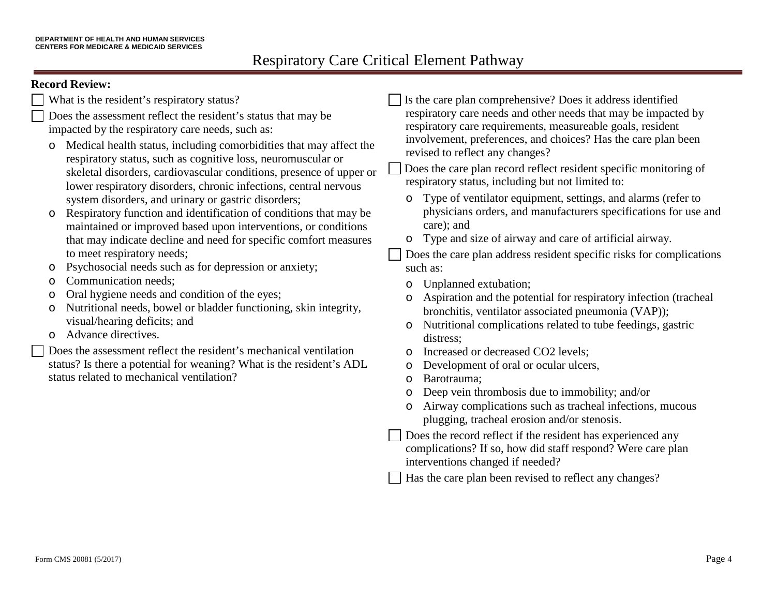### **Record Review:**

- What is the resident's respiratory status?
- Does the assessment reflect the resident's status that may be impacted by the respiratory care needs, such as:
- o Medical health status, including comorbidities that may affect the respiratory status, such as cognitive loss, neuromuscular or skeletal disorders, cardiovascular conditions, presence of upper or lower respiratory disorders, chronic infections, central nervous system disorders, and urinary or gastric disorders;
- o Respiratory function and identification of conditions that may be maintained or improved based upon interventions, or conditions that may indicate decline and need for specific comfort measures to meet respiratory needs;
- o Psychosocial needs such as for depression or anxiety;
- o Communication needs;
- o Oral hygiene needs and condition of the eyes;
- o Nutritional needs, bowel or bladder functioning, skin integrity, visual/hearing deficits; and
- o Advance directives.

Does the assessment reflect the resident's mechanical ventilation status? Is there a potential for weaning? What is the resident's ADL status related to mechanical ventilation?

Is the care plan comprehensive? Does it address identified respiratory care needs and other needs that may be impacted by respiratory care requirements, measureable goals, resident involvement, preferences, and choices? Has the care plan been revised to reflect any changes?

Does the care plan record reflect resident specific monitoring of respiratory status, including but not limited to:

- o Type of ventilator equipment, settings, and alarms (refer to physicians orders, and manufacturers specifications for use and care); and
- o Type and size of airway and care of artificial airway.

Does the care plan address resident specific risks for complications such as:

- o Unplanned extubation;
- o Aspiration and the potential for respiratory infection (tracheal bronchitis, ventilator associated pneumonia (VAP));
- o Nutritional complications related to tube feedings, gastric distress;
- o Increased or decreased CO2 levels;
- o Development of oral or ocular ulcers,
- o Barotrauma;
- o Deep vein thrombosis due to immobility; and/or
- o Airway complications such as tracheal infections, mucous plugging, tracheal erosion and/or stenosis.
- Does the record reflect if the resident has experienced any complications? If so, how did staff respond? Were care plan interventions changed if needed?

Has the care plan been revised to reflect any changes?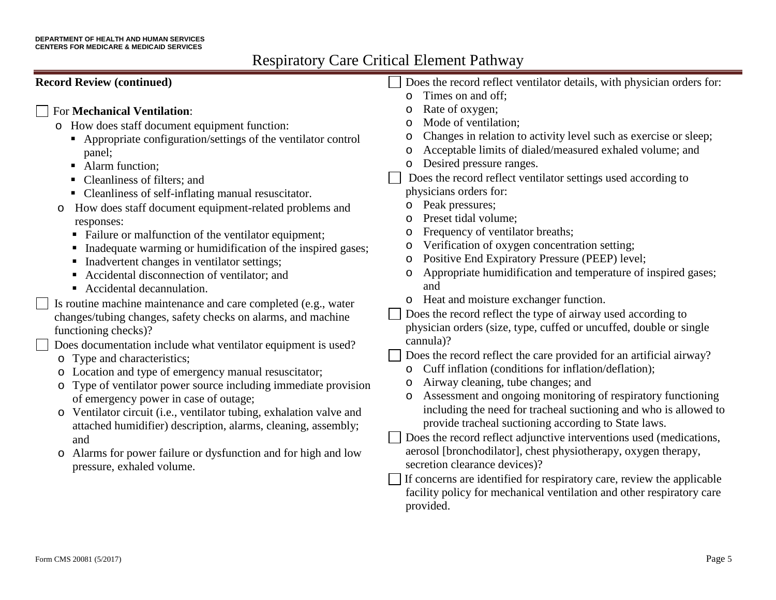| <b>Record Review (continued)</b>                                             | Does the record reflect ventilator details, with physician orders for:   |
|------------------------------------------------------------------------------|--------------------------------------------------------------------------|
|                                                                              | Times on and off:<br>$\circ$                                             |
| <b>For Mechanical Ventilation:</b>                                           | Rate of oxygen;                                                          |
| o How does staff document equipment function:                                | Mode of ventilation;                                                     |
| • Appropriate configuration/settings of the ventilator control               | Changes in relation to activity level such as exercise or sleep;<br>O    |
| panel;                                                                       | Acceptable limits of dialed/measured exhaled volume; and<br>$\circ$      |
| • Alarm function;                                                            | Desired pressure ranges.<br>$\circ$                                      |
| Cleanliness of filters; and                                                  | Does the record reflect ventilator settings used according to            |
| • Cleanliness of self-inflating manual resuscitator.                         | physicians orders for:                                                   |
| How does staff document equipment-related problems and<br>O                  | Peak pressures;<br>$\circ$                                               |
| responses:                                                                   | Preset tidal volume;                                                     |
| • Failure or malfunction of the ventilator equipment;                        | Frequency of ventilator breaths;<br>$\circ$                              |
| Inadequate warming or humidification of the inspired gases;                  | Verification of oxygen concentration setting;<br>O                       |
| Inadvertent changes in ventilator settings;                                  | Positive End Expiratory Pressure (PEEP) level;<br>$\circ$                |
| Accidental disconnection of ventilator; and                                  | Appropriate humidification and temperature of inspired gases;<br>$\circ$ |
| Accidental decannulation.                                                    | and                                                                      |
| Is routine machine maintenance and care completed (e.g., water               | Heat and moisture exchanger function.                                    |
| changes/tubing changes, safety checks on alarms, and machine                 | Does the record reflect the type of airway used according to             |
| functioning checks)?                                                         | physician orders (size, type, cuffed or uncuffed, double or single       |
| Does documentation include what ventilator equipment is used?                | cannula)?                                                                |
| Type and characteristics;<br>$\circ$                                         | Does the record reflect the care provided for an artificial airway?      |
| Location and type of emergency manual resuscitator;<br>$\circ$               | Cuff inflation (conditions for inflation/deflation);                     |
| Type of ventilator power source including immediate provision<br>$\circ$     | Airway cleaning, tube changes; and                                       |
| of emergency power in case of outage;                                        | Assessment and ongoing monitoring of respiratory functioning             |
| Ventilator circuit (i.e., ventilator tubing, exhalation valve and<br>$\circ$ | including the need for tracheal suctioning and who is allowed to         |
| attached humidifier) description, alarms, cleaning, assembly;                | provide tracheal suctioning according to State laws.                     |
| and                                                                          | Does the record reflect adjunctive interventions used (medications,      |
| Alarms for power failure or dysfunction and for high and low<br>$\circ$      | aerosol [bronchodilator], chest physiotherapy, oxygen therapy,           |
| pressure, exhaled volume.                                                    | secretion clearance devices)?                                            |
|                                                                              | If concerns are identified for respiratory care, review the applicable   |
|                                                                              | facility policy for mechanical ventilation and other respiratory care    |
|                                                                              | provided.                                                                |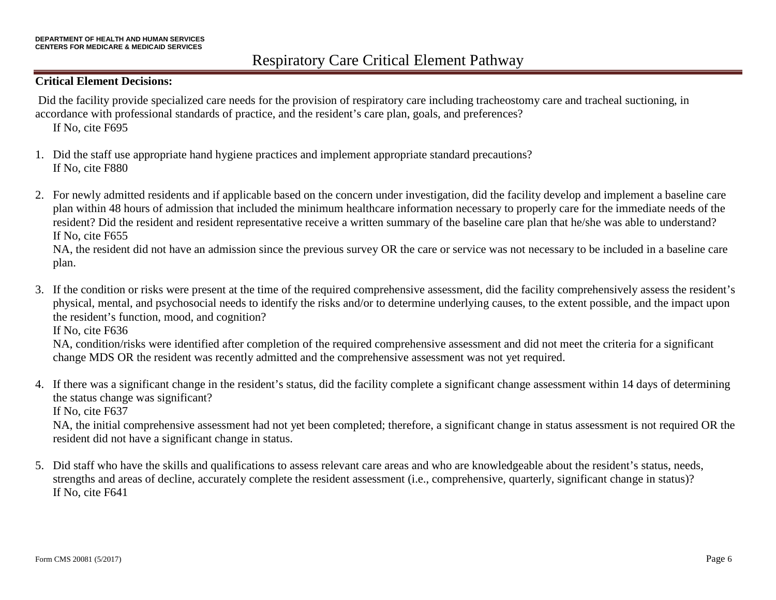#### **Critical Element Decisions:**

Did the facility provide specialized care needs for the provision of respiratory care including tracheostomy care and tracheal suctioning, in accordance with professional standards of practice, and the resident's care plan, goals, and preferences?

If No, cite F695

- 1. Did the staff use appropriate hand hygiene practices and implement appropriate standard precautions? If No, cite F880
- 2. For newly admitted residents and if applicable based on the concern under investigation, did the facility develop and implement a baseline care plan within 48 hours of admission that included the minimum healthcare information necessary to properly care for the immediate needs of the resident? Did the resident and resident representative receive a written summary of the baseline care plan that he/she was able to understand? If No, cite F655

NA, the resident did not have an admission since the previous survey OR the care or service was not necessary to be included in a baseline care plan.

3. If the condition or risks were present at the time of the required comprehensive assessment, did the facility comprehensively assess the resident's physical, mental, and psychosocial needs to identify the risks and/or to determine underlying causes, to the extent possible, and the impact upon the resident's function, mood, and cognition?

If No, cite F636

NA, condition/risks were identified after completion of the required comprehensive assessment and did not meet the criteria for a significant change MDS OR the resident was recently admitted and the comprehensive assessment was not yet required.

4. If there was a significant change in the resident's status, did the facility complete a significant change assessment within 14 days of determining the status change was significant?

If No, cite F637

NA, the initial comprehensive assessment had not yet been completed; therefore, a significant change in status assessment is not required OR the resident did not have a significant change in status.

5. Did staff who have the skills and qualifications to assess relevant care areas and who are knowledgeable about the resident's status, needs, strengths and areas of decline, accurately complete the resident assessment (i.e., comprehensive, quarterly, significant change in status)? If No, cite F641